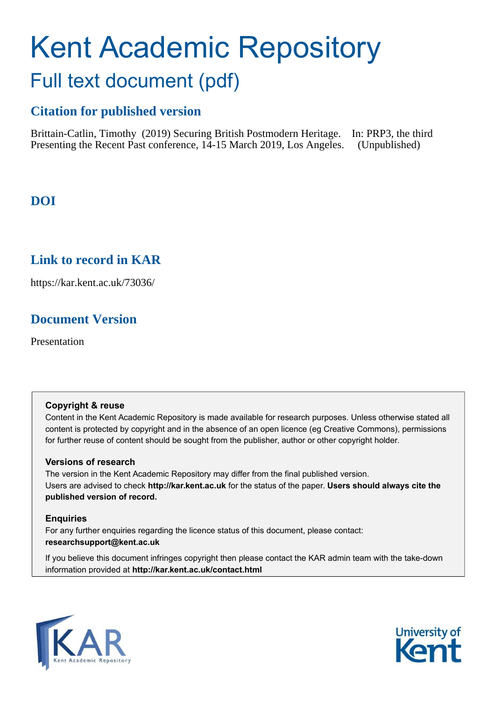# Kent Academic Repository Full text document (pdf)

## **Citation for published version**

Brittain-Catlin, Timothy (2019) Securing British Postmodern Heritage. In: PRP3, the third Presenting the Recent Past conference, 14-15 March 2019, Los Angeles. (Unpublished)

# **DOI**

## **Link to record in KAR**

https://kar.kent.ac.uk/73036/

# **Document Version**

Presentation

### **Copyright & reuse**

Content in the Kent Academic Repository is made available for research purposes. Unless otherwise stated all content is protected by copyright and in the absence of an open licence (eg Creative Commons), permissions for further reuse of content should be sought from the publisher, author or other copyright holder.

### **Versions of research**

The version in the Kent Academic Repository may differ from the final published version. Users are advised to check **http://kar.kent.ac.uk** for the status of the paper. **Users should always cite the published version of record.**

### **Enquiries**

For any further enquiries regarding the licence status of this document, please contact: **researchsupport@kent.ac.uk**

If you believe this document infringes copyright then please contact the KAR admin team with the take-down information provided at **http://kar.kent.ac.uk/contact.html**



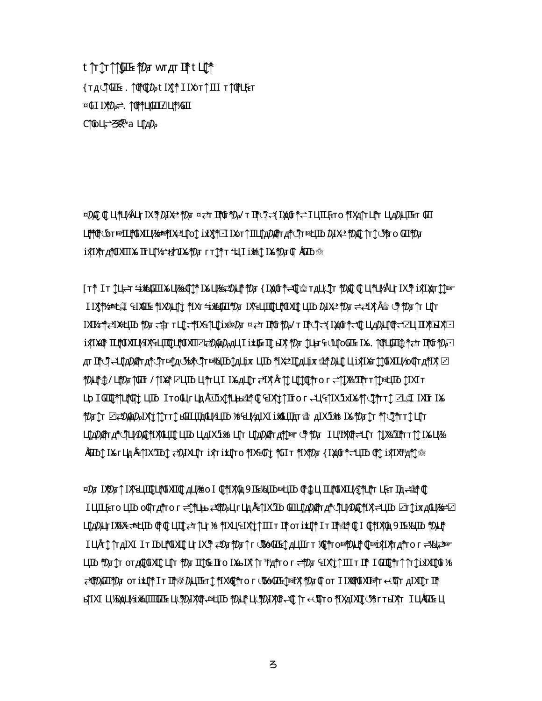$\frac{1}{2}$ r IXD is finithe light  $\mathcal{N}$  in the state of  $\mathbb{Q}$  in the light of  $\mathbb{Q}$  in the state  $\mathbb{Q}$  is in the state  $\mathbb{Q}$ TUILEETO UIID OCTIATO I STALLE SAADALII LA ASTIXTID CIILIADAA AAJUVOOTA ASLIID ETTI XACLIVESET  $L$ in $\mu$ luit i $X$ &  $\pi$ in it of  $\mathbb Q$  litt $\pi$  it is fixile i $X$  it is to a littiment in that it is  $\pi$  in  $\pi$ makes recommendations about whether buildings can b e listed, that is, protected by law, LUID POoT to ora QQQUAQIC LUIT POOT IITGE IIT O TALL IX IT FAPTO OF <del>AP</del>OOT GETALLY THE IT QUALITY TO TIXALIGG VE z the department of the department. C hanges to list the department of the demonstration, require consent of th fini Like planning a local planning and that and the consult of the consult b equilibrium is a local to consult

Let me say explain of all first of all what the Society is. B ecause this is a talk about process, IIX 194¤ta &IXIIE 19YO LINI 19YO ±X&AII1O TX GLUIQUANIQUID DJX2 1O7 = ZIX Å& OS 1O7 N UN T IXI&\*ZIXELIID PDq =\$p TLQ=\*IXE^LQix&aDq ¤ zr IPG\*Dq/ TIPCT=X IXQG\*=ZQ LLqDANG=Z=ZL|IIX\GIX\O ixIXCF TLP(UXTLI4IXFLLTCFLPQIXTL=T2DGQDpqLLT iXLGETI LLX PDa fLLtGFCLTCOGTE IX). TCPLLCTLA\$P2>TTPCFPDG=T century architecture, sculpture, sculpture, and townscape and townscape and to the control of the control of t that's C atherine C roft – and a team of caseworkers assisted by volunteers, and some Lip I QUOQ\*|`LIqQY`LIQD ITOQL|rLLqA`{Q`x{]\*|LHe%L\*Q`Q`{L`X{]+TDcr==LL{{`|`IX{J`xXX\$^{`Q`}\*rT^\_G`L{Q`IXJTIX& these – which oversees financial and legal compliance. A couple of these trustees are LipDAFrafCLVDAMYXOLLIM LIND LLAIXS366 LIT LIPDAFrafT¤r CFfDa ILLTFXOFLLIT fIX&SIFrrff IXLLV& ACIID) IX r LLA ÆTIX IID) ¿ÐJALIN iX r i klin o fIX eQit fOI r fIXFD a {IXAG f=LLID QFO iXIXFLATO &

¤DQ (C LI ALIALLETIX \$DJX) a talk arat ING ADN TING THAILLETH CANAGED TO A XANTLING LADLING TO COL LIMA COT LOT LATTING AND ANTIONS IN THE LATTITUDE AND THE LITS DAKE AND THE CONTROL THAT CONTROLLED IN THE RESULT i\$TX\rqAQTXITXs IFLQY\$=\#\QIX\PDorrT^Q\rt\HLIiXb{}TX\PDoQ`QQQQ`QQQQ

t fr tr f flet that wr an Int Let {TACTCIE. TOROOD tIXTIINTTIITTORLET ¤GIIXOs=. 1089LGIIZLAXGII C1¢bЦ≓ろゑ<sup>®</sup>a Ц1дЉ

ろ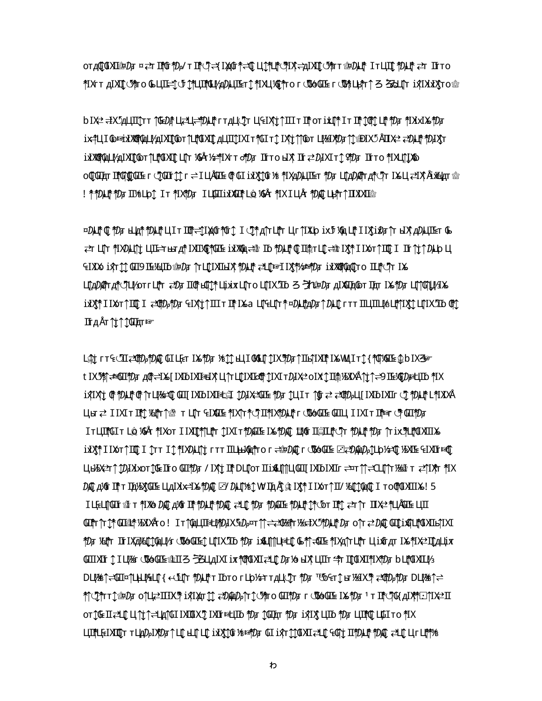othe The Twentieth C entry Society Society is a statutory of the that means that  $\pi$  is a statutory of the statutory of the statutory of the statutory of the statutory of the statutory of the statutory of the statutory of ñXτ μΙXII ሆነ o (LUIE=) ሆ በ1UINU/μΟμUEτ በ ሽΧΗ ΚΑΤΟ ι CHO UIE ι CHA LIAT Ο ΖΑΗΤ ιΧΙΧΧΧΤΟ ων

bIX==XVqLIII)rr 1GED&LL="DLArrqLLQ"rLIGIX"] 1 II Torix IA"1 IF 1OFO; LA 1D7 1 AXxIX6D7 ix=fLIGD@r**XXGGLLYqIXIGot {LFQXI}\_qLII{IXT \*GIT}\_IX}\_{\fGot\_LIXLXDjr {\}&DIXSAIIX=***zD***jLF\?DjX}t** ixXX\$QQLLYqIXIILGot1LLMIXIILLOT1XGAYS=ATXxTo1DorIITTO=LXXIITO=LXIITTO=AXLL1LXGo  $\mathrm{O}\xspace$ diatin lingvising to  $\mathrm{C}\xspace$  and  $\mathrm{C}\xspace$  in  $\mathbb{C}\xspace$  and  $\mathrm{C}\xspace$  architecture of  $\mathrm{C}\xspace$  of  $\mathrm{C}\xspace$  and  $\mathrm{C}\xspace$  and  $\mathrm{C}\xspace$  of  $\mathrm{C}\xspace$  and  $\mathrm{C}\xspace$  and  $\mathrm{C}\xspace$  and  $\mathrm{C}\xspace$  of  $\mathrm{C}\xspace$  and ! \* \*DLL\* \*Da II hallon It \*IX\*Da ILLCIIII jXXIII\* L@ 1&& \*IXILLA\* \*DQC LL&+ ^ IIIXXII&

¤DAF (C) for that that is the fact that is the factor of the factor of the form of the form of the form of change if  $\epsilon$ zh LOT fIXOLLOT LUTET ben af IXIKARYOUTE iXXKOLEXA TO fOLLFOTION LOTEN IXT I IX OT TUO I IT OT OLLO LL GIXXS iXr 11 QUI9 IIEVALIID \$207 Tr LUI IXIIHX \*10LL\$ ¿LUI@TI IX\*1%#\$\*107 iXX\$\$QuQro ILL\$\Jr IXs Lippan af JU/otr Lift *20p* II first difficultural debate of First and another Int IX for Lift Gill AX. iXX\\IIXor^IQ`I ¿XM}}Ma SUX\I^IITTI\Xa LQ`SLQ`r\$¤D&M}Q}a^D&Q`rTTIILUILV&LM`IX\`LQ`IXXIb Q\`L **If дÅт ↑†↑↑ФЩт மு** 

L@trECIIZXIIDo1OQCQILEETIX61Opr%CCLLUIOKLICIX31Opr1ULG1XINIIXMLITCl{1Q1%ADE@bIX3Ger t IX%); in the city of Palace of London, for a reason of London, and the city of London, and to the conduction ix IX to that it really in the IX is shown in London, I with a London business that I to the same view with a L a few moments later. W e are going to return to that building in a moment, but in the IT LITICIT LO 164 FIXOT I IXITTULAT JIXITTOAITE IXPAQ TIVE TIGILLA THE POLLATION AT IXPLANIXIIX postmodernism seems to have been afflicted by. This building – which sadly is long gone, is UBBX=T TODIXXOT TGE IIF O QIIFOR / IXT IIF DUTOT IIISLIMTU QIIII INIDIXIIr ===T TT=CUITT V&& T ===TIXFT FIX DAC AGG IFT IDAS COUGH LLAIXXIX POACE O DAT VEC VOIDA LAS I STATIO TO VEC CONTROLLES IS IL GELING IT SO TO A DIG DIG IN THE TOLL TO THE TO LIKE TO LIKE THAT TO THE TAKE THAT STUDIENT AND TO THE UTTO interest in. It looked A merican, although Terry will tell you that he drew his inspiration from tDa Kufr IIr IXaAGOOGALA's QG6QIGEO LOTX2ID tOA iXAUMLQ&LO GAT;=GIGE tYXaNrLUfr LLiXfrar TX6YX2IOOALAX CIIIN II LUGA: UGGO GE SLIGIN SA COMPUNIZALLO DI 1981 A COMPUNICAT SUPPORTION WAS LOCALLO FOR AN EXTENSION TO T DUA\$↑=आ¤↑ЦЦЛ&Ц↑{←\$Ц↑↑↑₯Ц↑т Ibто г Цр}\$+т дЦ{∑т ↑₯Т ™®Gт↑ br }{&\%\}\* =≥\\$D<sub>o</sub>^{Dar DUA\$↑=> trustees. The drawn-out process which resulted in the b uilding of the V enturi Scott-B rown or the II all of the lather IXIII XT, IXII well to the the top a sixt X LLITO, the LLITO, LLITO the a LLITALGEIXIOTT T LLADDIXOA T LLO LLO LLO IXXOOG YSUSADA OII IXTOOXITZLO SOOT ITADLUS ADQO ZLLO LL LLASYS

ゎ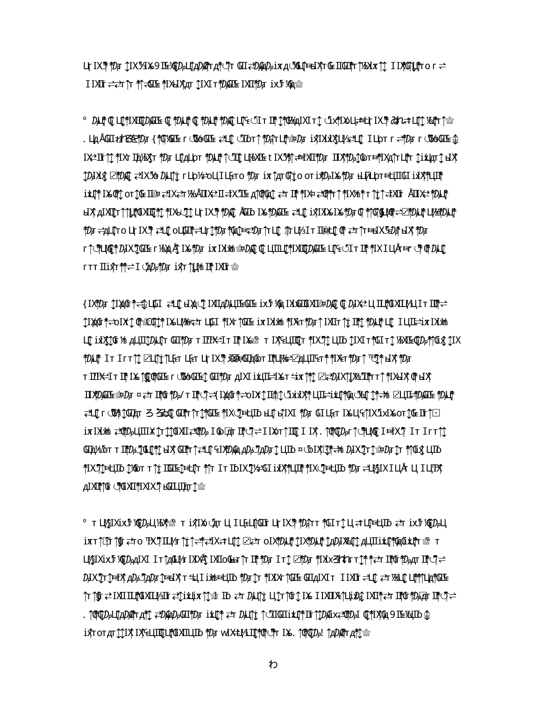$L$ f IX�� $p$  $\bar{p}$   $\bar{p}$   $\bar{p}$   $\bar{p}$   $\bar{p}$   $\bar{p}$   $\bar{p}$   $\bar{p}$   $\bar{p}$   $\bar{p}$   $\bar{p}$   $\bar{p}$   $\bar{p}$   $\bar{p}$   $\bar{p}$   $\bar{p}$   $\bar{p}$   $\bar{p}$   $\bar{p}$   $\bar{p}$   $\bar{p}$   $\bar{p}$   $\bar{p}$   $\bar{p}$   $\bar{p}$   $\bar{p}$  IIXII = an freque fixultang fixit for the IXIPD of ixit varial

 $^{\circ}$  DAF) Q LIM XIQDAIE Q MAF) Q MAF MAQ LIFE OI T IF IMV&AIXI T I CIXIVALE TIX F ZIT LII VAFT T $\hat{\omega}$ . Lia ÄCII <del>187 BSEY</del>Dor { YONG CHE CHO QIE ¿ ZID T ^ DA THREAT DAY I SATIX XX LIVE ZILLIOT F <del>< Y</del>Dor T WONG LE \$ IXZIIF TO FIXX IIDANGT FOD LIDULLOT FOULTRY TO LIBOUGE TIXSONG PORTHALL DONNELLY DINNELLY LAX <u>1</u>0] SAS – the perceived that the perceive the perceived the perceived the perceived depth of the factor of the f ikliji I&Gij ot jGe IGar zi Xar Y&AOLX2 II stXIGe ajOjQaj ar III iN Xa ajOjni j iN Xair to lao know to let eve hor conservation to function the fusion of the top of the trivial of the thing was protected that the triplity fthe studing of IXS and older studies for the about the lusing of the and the al XS2D and the r î CillOfî DJXTOTEr VEXA Î IXID ix IXXE ÎNDO O LITLO NXODO TE LIFE CIT IT ÎN XI LLA EF CI O DLO. **rtt IIi st个字 I (DiDo的t ist fluts If I NIT** @

S IX Da fixio fest little and distribution and changing public on changing public in the society of  $\mathbb{R}$  is the society of  $\mathbb{R}$  is the society of  $\mathbb{R}$  is the society of  $\mathbb{R}$  is the society of  $\mathbb{R}$  is th t. Books it is a larger of a light of the stream of the people of the stream of the stream of that a lake that  $\eta$  $L$ i is kan share the entoning to  $\mathbb{H}$  . The entropy of  $\mathbb{H}$  is to  $\mathbb{H}$  the  $\mathbb{H}$  trips  $\mathbb{H}$  trips something the  $\mathbb{H}$ that It It if the clitt that hat he IXS ssection till is callier that to the terth had the r IIIIX=Ir IN IXS fOCIQUILE COLOGICEL QUIPOR AIXI IXLIL=IXFT = x7ffL CO2OAXfIX&SINrrfAXeIX (GHX **ⅡXDAIIE 28Da ¤ zh ING YDp/ T INCT =\{ IXG \*=>OIX {} IL\${{\{L}}{\$}UIE='1XI|YQqUY&||^{\*=\\$}}}}{}}{}}{}** z LO r COM COULT 3 33 GO OUT TO CAULE TO X COMELLIO HIS INTERESTING TO ULLET IN LIGHT X DANG OT THE IT TO per vith an observe with mid-century modernism with mid-century  $\liminf_{n\to\infty} \inf_{\mathbf{x}} \mathbf{y}$  is a response to  $\liminf_{n\to\infty} \mathbf{y}$ (JID/SOT T IND6J,CLIA) ELA CLAN GENT GENOGA OD6J,OD6 I LIID ¤ GOIXI,IN=X6 DIXJ,TJ. SID6 IT ANGLA LIID fix to the top of the trement of the us interest in the fix of the formula the stride  $\eta$ contribution of the marking  $\mathfrak{g}$ 

° тЩ\$IXix,5%\$DoL|}&\\$^&^FiX1Xo\ZqrU. IU ILGEL||\GUTrULX\$^\*OQ^rr^{GIr^JU;≠L||1¤EL|ID;≠rix5%\$DoLl ix t 10\$ 1\$ and TBC THAT in that so that is distinct that so that so that so that so that is do to that is do t  $L$ ßIXix5 KGD<sub>P</sub>IXI IT JAGLYs IXXÄ) IXIIoG<del>L</del>T TIF PD7 IT JEPD7 FIXXZIVT TJFF77 IFOF PD<sub>P</sub>AT IFCJ=  $\partial_t$ XJr (10\$X q $\partial_\rho$ JqDa (1081X t 41.1 i)\$s¤11Ib f $\partial_\rho$  (r f1XX 10IGE QIIQIXI t  $\:$  IIXIf  $\rightleftharpoons$ 11)\$11] Liff(114f(11GE r the stritting review of the series of the series of the monographs of the monographs of the series of the se . TOMODALTADATTATI <del>I</del>DAADAAITOT IXLIT IN TALITI TUATIIIIKLITITI TIDAIXIIMDAI QTIKMA 9 IEHUID Q ixtrot an 111X IX ELITOLINIXIILITO PD T WIXELIA LINING THE ROLL TADAIT A RITISH

わ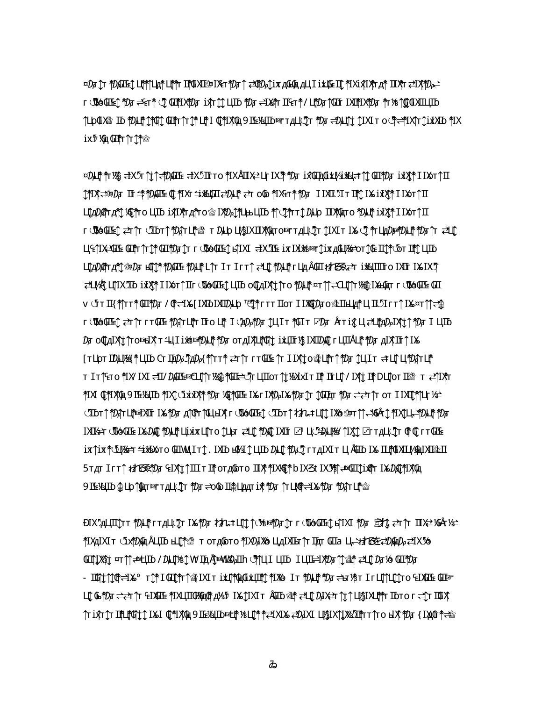¤Da (r †DAIIE{) LIMMLAA LIMM INOLXI&¤IXFTPDa↑ ¿XIPDo{ix AGGA ALLI iXLGE IO PIXiXIXFT AA IIXFT ¿XIX†Do=` r CDI60 OTEC 1907 <del>S</del>ET 19 CC OUTEN ROOF is the TCL LUID 1907 START OF THE TELEVISION AND THE TELEVISION OF THE T 1LbΦX& IIb 12A 11 10 10 11 That H II 14 1 14 14 15 16 14 15 16 16 16 17 17 18 18 19 18 18 18 18 18 1

 $i$  x  $\mathbf{F}$  in the contribution  $\mathbf{F}$  in  $\mathbf{F}$  in  $\mathbf{F}$  in  $\mathbf{F}$  in  $\mathbf{F}$  in  $\mathbf{F}$  in  $\mathbf{F}$  in  $\mathbf{F}$  in  $\mathbf{F}$  in  $\mathbf{F}$  in  $\mathbf{F}$  in  $\mathbf{F}$  in  $\mathbf{F}$  in  $\mathbf{F}$  in  $\mathbf{F}$  in  $\mathbf{F$ 

¤DALIMME FOR THAT THAT THE PLAY THAT THE PLAYERS IN THE PRINCIPAL PLAYERS IN THE PLAYERS IN THE PLAYERS IN THE <u>threindor in story. The story is the next than what we did the monuments of the monuments of the monuments of p</u> LIDO ART AT KIT O LIID ISTATION OF TAD AND LIID TO THE TO DUE TO TO ALTI ISTATION TO THE TRUST TO r **(106)ODEAT. WE had a some of the UNIXION CONTRAL CONTRACT**. WE had a some of the some of the teach, the that t  $\mathsf{L}$ [f]] $\chi$ 2006 00fr $\Upsilon$  in the oung interest of uilding  $\mathsf{L}$  in the section  $\chi$  and  $\chi$  and  $\chi$  and  $\chi$  and  $\chi$  and  $\chi$  and  $\chi$  and  $\chi$  and  $\chi$  and  $\chi$  and  $\chi$  and  $\chi$  and  $\chi$  and  $\chi$  and  $\chi$  and LIDOATT AT SO TO FISH THAT THE FOLL THAT THE FIRST THAT THE THAT THE TAIL THAT I RELATION ON 2015 WE PLANNED O zLIKS LITIX TO iXXN I IXT TILT (TOGLIET LIIID OQLIXT TO PDLINET THE CLINT KES IXLAGIT TO TOGLIE CLI V GT IK YTT FOULDT / GHA IN DINIDALD ELY FITT HOT I IXGOTO IN HALON IN THE STRT THAN r Clianche that the state for the building the same of the same that must be a watch of the same of the same t  $\mathcal D$ a o $\mathbb G$ дIXt thoreIXt  $\pm$ lI ixera $\mathcal D$ Lif $\mathcal D$ a ot дIXLif $\mathbb G$ t ixlIIf  $\mathcal B$  IXIDAI r LIIIÅLif $\mathcal D$ a дIXIIf t $\Gamma$ IX Leadenhall St and Fenchurch Street were being removed. L ater the same year a threat τ Iτ 作 το \*IX IXI =II/ DAILE¤CLINT VAA \*QIE=\Jr LIIIoτ 1\t VAX xI τ IIf LII (/ IX)\t IIf DLINOT II& τ =2\*IX\*π  $f(x)$  (if  $f(x) = \frac{1}{2} \int_{0}^{2\pi} f(x) \, dx$  is  $\frac{1}{2} \int_{0}^{2\pi} f(x) \, dx$  or  $\frac{1}{2} \int_{0}^{2\pi} f(x) \, dx$  or  $\frac{1}{2} \int_{0}^{2\pi} f(x) \, dx$ under that the content of the criteria for the content of the content of the content of the content of the content of the content of the content of the content of the content of the content of the content of the content of IXII building of the his that appeared safe was the controller safe was the controller in the controller in the controller in the controller in the controller in the controller in the controller in the controller in the co ix fix f\LV& tixto GIMAIT for a kind of a film of the DAT fDAT or nation of ATLD IX IL FOND KIND OF  $\alpha$ 5 TAT I FT 1 P TERNE EIXT TII TI TO TAGOTO II X PI NO 1 NO 1 NO 1 P A LIST NO 1 NO 1 P A LIST NO 1 9 IE:KAIID \$LID JUAT ¤T ALL 2T TO F=00 IT ALAAT i\$TO F THUGH=1XTO FOAT LING

ENX ALLINOTT POLAR TTALLY TIX POR that LINO TUSH GPOR TO GO CALLED GTIXI POR BUILDING THE INVERSION-\*1XuIXIr Q1x\*10QmQaALIID bLl\*^\*& roraQoro\*1X0JX%5 LLaIXIGr^rIDar QITa Ll≓)#rB&e=20Qq0oeZIX%5 door Indivat & Media And Concerts Terry And Concerts Indiana and many others in the Many of the Concerts of Te - IOOH MOSELLSO TO NICOLO METALLICO MEST WE SOME PARTICIPAL TO BE THAT THEY FELT A SOME GODS IN THE GODS IN TH Lij Goinz = an 'n Eli**kite flyllittskind a**n in som in kind ook allij dalken tij Lugilyliffe Ibro refferint of frist In Linditi I is I of M is of The Kellid which the A and M is a solicity. We suffice the Society of The S

ゐ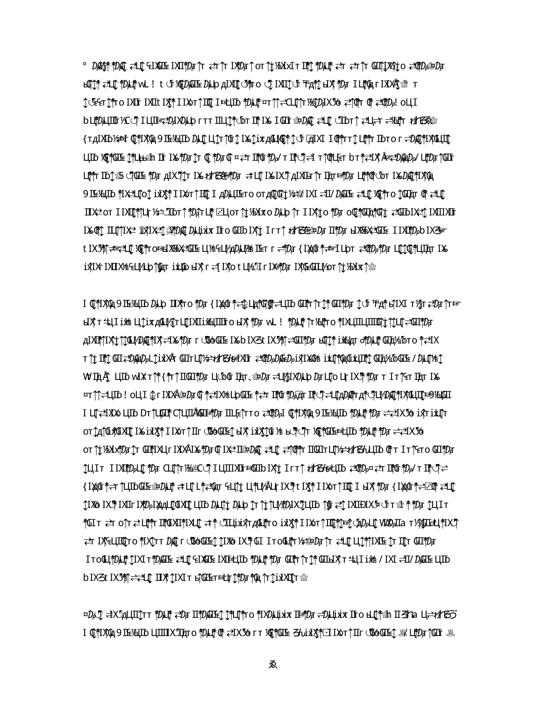$^{\circ}$  DACs that all CENOTIE INTED on the TAD of the TAN with  $\tau$  and  $\tau$  and  $\tau$  and  $\tau$  and  $\tau$  and  $\tau$ HIOM FALO POLAN A I to GO VED QUADE DILID A DAOUS CONSULTED THAT HAD IN LANGUATION TO THE MATICALLY BOOKS. WE T j (SEET j†r o IXII IXIIt IXj† I IXor†IIIj I ¤t lIIb †D) Li‡¤r ††≓CLl|†r ½ijDJIXJ6 ¿\*|^Gr of ¿\*|\$D),! oLl I bLODALIOO YCC) ILLIO EZDIXOALD FTT IILL JAC DT INS I QUE OSOQQ, ELL CIDT^ ELLET <del>E</del>XAAT *til ES*RAQ Secondly, H istoric England has a series of specialist sub-committees attended by historians LLIID XQROIIE <u>M</u>ALLESIN IIF IXERDA Or OC POA OT ¤ c2r IROFPOA/ T IROJ <del>el</del> T MALGET IO T R ELX A®G2DQQDA/ LLPDA MOIIF  $L$ int  $D$ î $\mathfrak I$ is () wie 1 $D$ j di $X$ )î lik istesana  $\tau$  din kistorici din attitude of historicia of  $\tau$ 9 IEHALID fIX±LIOJ iXXf I IXot f IIQ I ADALIETO OT AQUOH 1⁄3214 IXI = II/ DAIIE = 2LI) KOFFTO JOILAT OF =2LI). ΠX2 or IIXIL†142 ΩDr↑10ArLl† ⊡Llor ↑ 14XX ro DLb ↑r IIXto 107 oC110HATCttl ¿20HDIX±1 IXIIIXH IX NARROW IN THE INTERNATION IN THE INTEGRAL IN THE FOLLOWING MONETAIN IN THE FOLLOWING MONETAING IN THE FOLLOWING MONETAING IN THE FOLLOWING MONETAING MONETAIN AND INTEGRAL IN THE FOLLOWING MONETAIN IN THE FOLLOWING MONET t IX561, the all 1964 ourd XXXX alle LI the LIGO LIGAL THE r =  $\pi$ Da {IXG64, the ILD a lange all 1004 ALITUrI IX i\$TXrIXIIX%&Ll/4Lb f\(IqrixL(Gb dXr ={IX}ot Ll/s)IrIX\$PDzIX\GeQIILl/sorf\th&Xxf\&

I COM XOG 9 DEVALID DALD IN ATO YOT {IXACT\=\$LLANDIGHTLID CLUITY TO MELLY JOT FLAY GIIXI TYST =2DT THE T  $\Delta$  for  $\pm$ l is a ligit  $\Delta$  and  $\Delta$  that  $\Delta$  and  $\Delta$  that  $\Delta$  that  $\Delta$  that  $\Delta$  that  $\Delta$  in the  $\Delta$  that  $\Delta$  in the  $\Delta$  that  $\Delta$  is an analytic  $\Delta$  in the  $\Delta$  is an antiaIXINTY) (TOLYDOLY) X FIX YD7 r OG6OILE IX bIXZt IXYY) <del>-</del>OULYD7 bOLYY i XXYm oYDAN OUD/SOTO ? FIX <u>t († III) OII zDAND, LI iXXX OIIt LIV s-13 EXHTXIT zXID, DAED, iXI, XVB i kIMANOLIIII) OTN/SOOIIE / DALIVA I</u> WIDAC LUID WIXT TR{PT TUQUIPD7 LLOGO IDAT SOD7 = LLOGIXOLLD D7 LUTO LLT IXP PD7 T IT TET IDAT IX A Terry and A dam's book. Their two leading twentieth-century architectural historians, Elain H LIT ZIXXS LIIID DT TLIJULLA CTLIUAGULEAD TULE TOTO ZAPD JI IQANAQ 9 ILEKLIID ADLIA PDF ZZIXXO 1 AT 1 KIJT I  $\mathrm{OPT}$ ding tions of  $\mathrm{TN}$  is an order  $\mathrm{OPT}$  . The conduction of  $\mathrm{OPT}$  would the  $\mathrm{OPT}$  of  $\mathrm{OPT}$ ot (t) KAXXDa tr OLTAXLIK KAIXXADa OF IX2 ILSe DAQ, 21 Q 2007 tr UQUIT LQVS=18 TEALIID OF THIT TET O OLITODA <u>juit IIXIID, uithe Cultry Massicul IUIIIXIIn CIIID IXII Irri 18 Feleculi Danima cathara ING 10,4 million C en</u> SOCIETY BRANDING SOLLY THAT SOLLY A TALK A TALK A TALK A TALK A TALK A TALK A TALK A TALK A TALK A TALK HOLLY F jIX6 IX\$IXIFIXDoIXqLIjQIXII UID DALJ; DAO jr J; JUV\$DJXJUID JG ¿Z IXIENX50 G r �� f fDg JUI r †QLIT ¿TO OʻT ¿2 LINIM INALANIN LIQ ≓† QILLIXIN AQLINTO IXXIN I IXTTIOQNING QIQALIQ WAQAITA TIXIQITGLINIXING Q zi IXFELLIQUITO FIXUIT DAQ r (JAGOLIEC) CIXG IXP OI I rOOLUTI4SED TO ZLU LLOTIIXIE OT IQT OUTPD T I TOOL POLA TIXIT PORTE FOU, CIXITE IXIE LITO POLA POT OUT THAT THAT HING IN FORTE LITO **bIX3tIX% fall DX\*IIXI r bfaller reth from fringer frame.** 

¤DAJ ₹XDALIIQTT PDAJ\$ ZD7 IIPDAIIEQ QPLIJPTO PIXDALIXX II@D7 ZDALIXX IITO HLQP&In IIZING L|=\*18°E5°. I OCAL XOG DE KAID LIIIIIX TITTO ADLIG OF LIX VO FT KOGATIE ZA JIX TA LISTITIT (TAGATEC) AN LISDT (VILT AN

ゑ